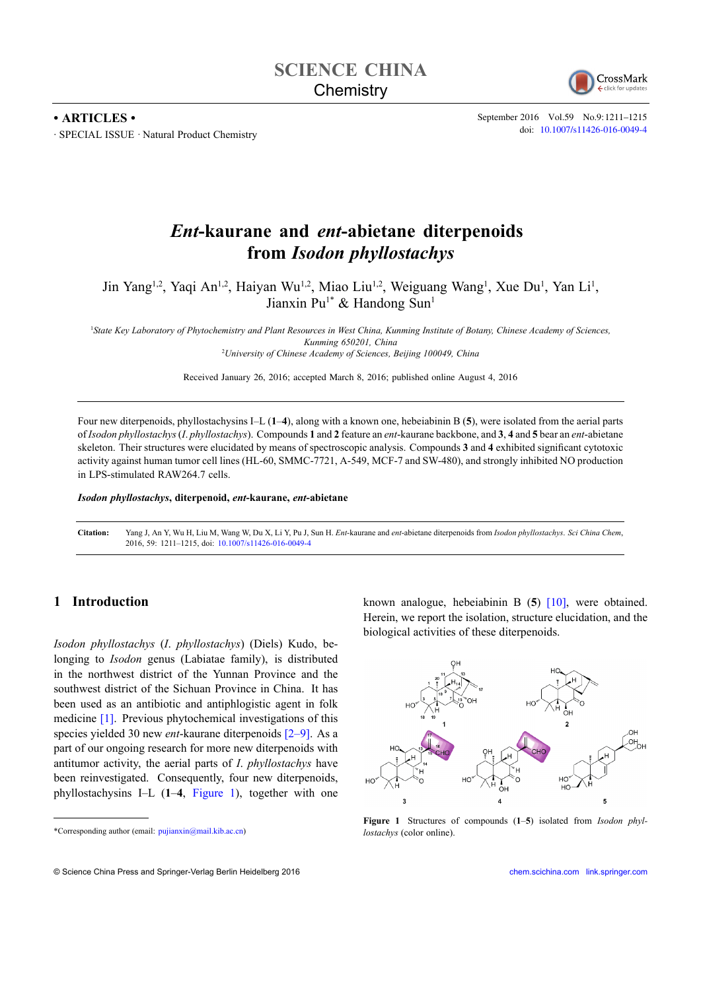

September <sup>2016</sup> Vol.59 No.9:1211–1215 doi: [10.1007/s11426-016-0049-4](http://dx.doi.org/10.1007/s11426-016-0049-4)

# *Ent***-kaurane and** *ent***-abietane diterpenoids from** *Isodon <sup>p</sup>hyllostachys*

Jin Yang<sup>1,2</sup>, Yaqi An<sup>1,2</sup>, Haiyan Wu<sup>1,2</sup>, Miao Liu<sup>1,2</sup>, Weiguang Wang<sup>1</sup>, Xue Du<sup>1</sup>, Yan Li<sup>1</sup>, Jianxin Pu<sup>1\*</sup> & Handong Sun<sup>1</sup>

<sup>1</sup>State Key Laboratory of Phytochemistry and Plant Resources in West China, Kunming Institute of Botany, Chinese Academy of Sciences *Kunming 650201, China* <sup>2</sup>*University of Chinese Academy of Sciences, Beijing 100049, China*

Received January 26, 2016; accepted March 8, 2016; published online August 4, <sup>2016</sup>

Four new diterpenoids, <sup>p</sup>hyllostachysins I–L (**1**–**4**), along with <sup>a</sup> known one, hebeiabinin <sup>B</sup> (**5**), were isolated from the aerial parts of Isodon phyllostachys (I. phyllostachys). Compounds 1 and 2 feature an *ent*-kaurane backbone, and 3, 4 and 5 bear an *ent*-abietane skeleton. Their structures were elucidated by means of spectroscopic analysis. Compounds **<sup>3</sup>** and **<sup>4</sup>** exhibited significant cytotoxic activity against human tumor cell lines (HL-60, SMMC-7721, A-549, MCF-7 and SW-480), and strongly inhibited NO production in LPS-stimulated RAW264.7 cells.

*Isodon <sup>p</sup>hyllostachys***, diterpenoid,** *ent***-kaurane,** *ent***-abietane**

Citation: Yang J, An Y, Wu H, Liu M, Wang W, Du X, Li Y, Pu J, Sun H. Ent-kaurane and ent-abietane diterpenoids from Isodon phyllostachys. Sci China Chem, 2016, 59: 1211–1215, doi: [10.1007/s11426-016-0049-4](http://dx.doi.org/10.1007/s11426-016-0049-4)

## **1 Introduction**

**• ARTICLES •**

∙ SPECIAL ISSUE · Natural Product Chemistry

*Isodon <sup>p</sup>hyllostachys* (*I*. *<sup>p</sup>hyllostachys*) (Diels) Kudo, belonging to *Isodon* genus (Labiatae family), is distributed in the northwest district of the Yunnan Province and the southwest district of the Sichuan Province in China. It has been used as an antibiotic and antiphlogistic agen<sup>t</sup> in folk medicine [\[1\]](#page-4-0). Previous <sup>p</sup>hytochemical investigations of this species <sup>y</sup>ielded <sup>30</sup> new *ent*-kaurane diterpenoids [\[2–9\]](#page-4-0). As <sup>a</sup> par<sup>t</sup> of our ongoing research for more new diterpenoids with antitumor activity, the aerial parts of *<sup>I</sup>*. *<sup>p</sup>hyllostachys* have been reinvestigated. Consequently, four new diterpenoids, <sup>p</sup>hyllostachysins I–L (**1**–**4**, Figure 1), together with one known analogue, hebeiabinin <sup>B</sup> (**5**) [\[10\]](#page-4-0), were obtained. Herein, we repor<sup>t</sup> the isolation, structure elucidation, and the biological activities of these diterpenoids.



**Figure <sup>1</sup>** Structures of compounds (**1**–**5**) isolated from *Isodon <sup>p</sup>hyllostachys* (color online).

© Science China Press and Springer-Verlag Berlin Heidelberg <sup>2016</sup> [chem.scichina.com](http://chem.scichina.com) [link.springer.com](http://link.springer.com)

<sup>\*</sup>Corresponding author (email: pujianxin@mail.kib.ac.cn)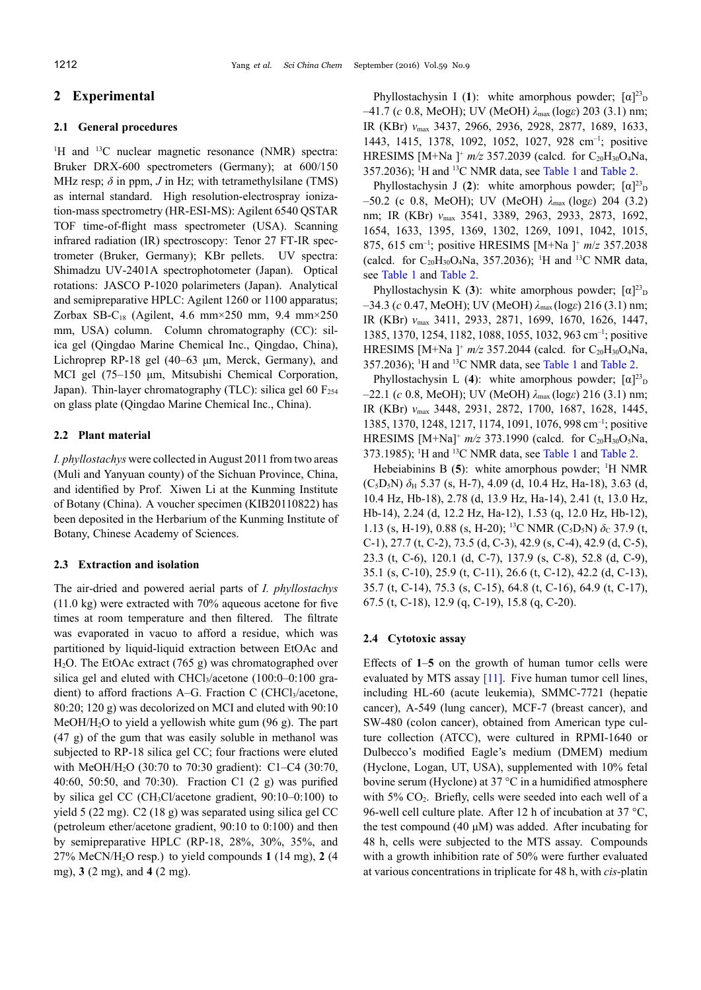## **2 Experimental**

#### **2.1 General procedures**

<sup>1</sup>H and <sup>13</sup>C nuclear magnetic resonance (NMR) spectra: Bruker DRX-600 spectrometers (Germany); at 600/150 MHz resp;  $\delta$  in ppm,  $J$  in Hz; with tetramethylsilane (TMS) as internal standard. High resolution-electrospray ionization-mass spectrometry (HR-ESI-MS): Agilent <sup>6540</sup> QSTAR TOF time-of-flight mass spectrometer (USA). Scanning infrared radiation (IR) spectroscopy: Tenor <sup>27</sup> FT-IR spectrometer (Bruker, Germany); KBr pellets. UV spectra: Shimadzu UV-2401A spectrophotometer (Japan). Optical rotations: JASCO P-1020 polarimeters (Japan). Analytical and semipreparative HPLC: Agilent <sup>1260</sup> or <sup>1100</sup> apparatus; Zorbax SB-C<sub>18</sub> (Agilent, 4.6 mm×250 mm, 9.4 mm×250 mm, USA) column. Column chromatography (CC): silica ge<sup>l</sup> (Qingdao Marine Chemical Inc., Qingdao, China), Lichroprep RP-18 ge<sup>l</sup> (40–63 μm, Merck, Germany), and MCI gel (75–150 μm, Mitsubishi Chemical Corporation, Japan). Thin-layer chromatography (TLC): silica gel 60  $F_{254}$ on <sup>g</sup>lass <sup>p</sup>late (Qingdao Marine Chemical Inc., China).

#### **2.2 Plant material**

*I. <sup>p</sup>hyllostachys* were collected in August <sup>2011</sup> from two areas (Muli and Yanyuan county) of the Sichuan Province, China, and identified by Prof. Xiwen Li at the Kunming Institute of Botany (China). <sup>A</sup> voucher specimen (KIB20110822) has been deposited in the Herbarium of the Kunming Institute of Botany, Chinese Academy of Sciences.

#### **2.3 Extraction and isolation**

The air-dried and powered aerial parts of *I. <sup>p</sup>hyllostachys* (11.0 kg) were extracted with 70% aqueous acetone for five times at room temperature and then filtered. The filtrate was evaporated in vacuo to afford <sup>a</sup> residue, which was partitioned by liquid-liquid extraction between EtOAc and <sup>H</sup>2O. The EtOAc extract (765 g) was chromatographed over silica gel and eluted with  $CHCl<sub>3</sub>/acetone$  (100:0–0:100 gradient) to afford fractions A–G. Fraction C (CHCl<sub>3</sub>/acetone, 80:20; <sup>120</sup> g) was decolorized on MCI and eluted with 90:10 MeOH/H<sub>2</sub>O to yield a yellowish white gum  $(96 g)$ . The part (47 g) of the gum that was easily soluble in methanol was subjected to RP-18 silica ge<sup>l</sup> CC; four fractions were eluted with MeOH/H2<sup>O</sup> (30:70 to 70:30 gradient): C1–C4 (30:70, 40:60, 50:50, and 70:30). Fraction C1 (2 g) was purified by silica ge<sup>l</sup> CC (CH3Cl/acetone gradient, 90:10–0:100) to <sup>y</sup>ield <sup>5</sup> (22 mg). C2 (18 g) was separated using silica ge<sup>l</sup> CC (petroleum ether/acetone gradient, 90:10 to 0:100) and then by semipreparative HPLC (RP-18, 28%, 30%, 35%, and 27% MeCN/H2<sup>O</sup> resp.) to <sup>y</sup>ield compounds **<sup>1</sup>** (14 mg), **<sup>2</sup>** (4 mg), **<sup>3</sup>** (2 mg), and **<sup>4</sup>** (2 mg).

Phyllostachysin I (1): white amorphous powder;  $[\alpha]^{23}$ <sup>D</sup> –41.7 (*<sup>c</sup>* 0.8, MeOH); UV (MeOH) *<sup>λ</sup>*max (log*ε*) <sup>203</sup> (3.1) nm; IR (KBr) *<sup>ν</sup>*max 3437, 2966, 2936, 2928, 2877, 1689, 1633, 1443, 1415, 1378, 1092, 1052, 1027, <sup>928</sup> cm–1 ; positive HRESIMS  $[M+Na]^{+} m/z$  357.2039 (calcd. for C<sub>20</sub>H<sub>30</sub>O<sub>4</sub>Na,  $357.2036$ ); <sup>1</sup>H and <sup>13</sup>C NMR data, see [Table](#page-2-0) 1 and Table 2.

Phyllostachysin J (2): white amorphous powder;  $[\alpha]^{23}$ <sub>E</sub> –50.2 (c 0.8, MeOH); UV (MeOH) *<sup>λ</sup>*max (log*ε*) <sup>204</sup> (3.2) nm; IR (KBr) *<sup>ν</sup>*max 3541, 3389, 2963, 2933, 2873, 1692, 1654, 1633, 1395, 1369, 1302, 1269, 1091, 1042, 1015, 875, <sup>615</sup> cm–1 ; positive HRESIMS [M+Na ] + *<sup>m</sup>*/*<sup>z</sup>* 357.2038 (calcd. for  $C_{20}H_{30}O_4Na$ , 357.2036); <sup>1</sup>H and <sup>13</sup>C NMR data, see [Table](#page-2-0) <sup>1</sup> and [Table](#page-2-0) 2.

Phyllostachysin K (3): white amorphous powder;  $[\alpha]^{23}$ <sub>E</sub> –34.3 (*<sup>c</sup>* 0.47, MeOH); UV (MeOH) *<sup>λ</sup>*max (log*ε*) <sup>216</sup> (3.1) nm; IR (KBr) *<sup>ν</sup>*max 3411, 2933, 2871, 1699, 1670, 1626, 1447, 1385, 1370, 1254, 1182, 1088, 1055, 1032, <sup>963</sup> cm–1 ; positive HRESIMS  $[M+Na]^{+} m/z$  357.2044 (calcd. for C<sub>20</sub>H<sub>30</sub>O<sub>4</sub>Na,  $357.2036$ ); <sup>1</sup>H and <sup>13</sup>C NMR data, see [Table](#page-2-0) 1 and Table 2.

Phyllostachysin L (4): white amorphous powder;  $[\alpha]^{23}$ <sub>E</sub> –22.1 (*<sup>c</sup>* 0.8, MeOH); UV (MeOH) *<sup>λ</sup>*max (log*ε*) <sup>216</sup> (3.1) nm; IR (KBr) *<sup>ν</sup>*max 3448, 2931, 2872, 1700, 1687, 1628, 1445, 1385, 1370, 1248, 1217, 1174, 1091, 1076, <sup>998</sup> cm–1 ; positive HRESIMS  $[M+Na]^+ m/z$  373.1990 (calcd. for C<sub>20</sub>H<sub>30</sub>O<sub>5</sub>Na, 373.1985); <sup>1</sup>H and <sup>13</sup>C NMR data, see [Table](#page-2-0) 1 and Table 2.

Hebeiabinins B (5): white amorphous powder; <sup>1</sup>H NMR (C5D5N) *<sup>δ</sup>*<sup>H</sup> 5.37 (s, H-7), 4.09 (d, 10.4 Hz, Ha-18), 3.63 (d, 10.4 Hz, Hb-18), 2.78 (d, 13.9 Hz, Ha-14), 2.41 (t, 13.0 Hz, Hb-14), 2.24 (d, 12.2 Hz, Ha-12), 1.53 (q, 12.0 Hz, Hb-12), 1.13 (s, H-19), 0.88 (s, H-20); <sup>13</sup>C NMR (C<sub>5</sub>D<sub>5</sub>N) *δ*<sub>C</sub> 37.9 (t, G<sub>1</sub>), 27.7 (t, G<sub>1</sub>), 42.0 (g, G<sub>1</sub>), 42.0 (t, G<sub>1</sub>), 43.0 (t, G<sub>1</sub>) C-1), 27.7 (t, C-2), 73.5 (d, C-3), 42.9 (s, C-4), 42.9 (d, C-5), 23.3 (t, C-6), 120.1 (d, C-7), 137.9 (s, C-8), 52.8 (d, C-9), 35.1 (s, C-10), 25.9 (t, C-11), 26.6 (t, C-12), 42.2 (d, C-13), 35.7 (t, C-14), 75.3 (s, C-15), 64.8 (t, C-16), 64.9 (t, C-17), 67.5 (t, C-18), 12.9 (q, C-19), 15.8 (q, C-20).

#### **2.4 Cytotoxic assay**

Effects of **<sup>1</sup>**–**<sup>5</sup>** on the growth of human tumor cells were evaluated by MTS assay [\[11\]](#page-4-0). Five human tumor cell lines, including HL-60 (acute leukemia), SMMC-7721 (hepatie cancer), A-549 (lung cancer), MCF-7 (breast cancer), and SW-480 (colon cancer), obtained from American type culture collection (ATCC), were cultured in RPMI-1640 or Dulbecco's modified Eagle's medium (DMEM) medium (Hyclone, Logan, UT, USA), supplemented with 10% fetal bovine serum (Hyclone) at <sup>37</sup> °C in <sup>a</sup> humidified atmosphere with  $5\%$  CO<sub>2</sub>. Briefly, cells were seeded into each well of a 96-well cell culture plate. After 12 h of incubation at 37  $\rm{^{\circ}C}$ , the test compound (40 <sup>μ</sup>M) was added. After incubating for <sup>48</sup> h, cells were subjected to the MTS assay. Compounds with <sup>a</sup> growth inhibition rate of 50% were further evaluated at various concentrations in triplicate for <sup>48</sup> h, with *cis*-platin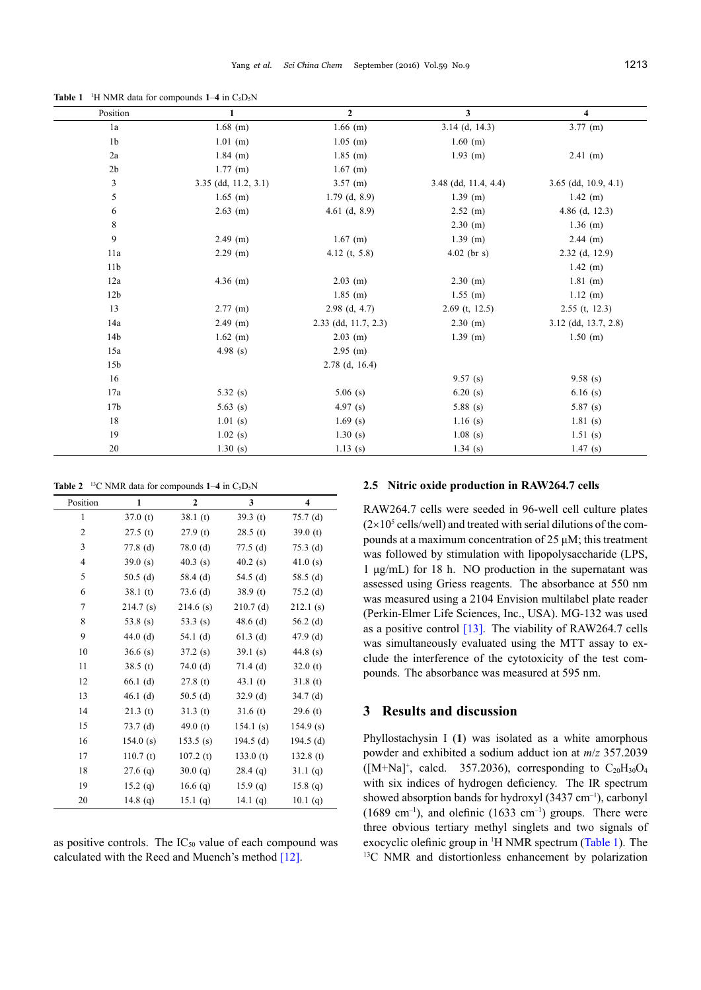<span id="page-2-0"></span>**Table 1** <sup>1</sup>H NMR data for compounds  $1-4$  in  $C_5D_5N$ 

| Position        | $\mathbf{1}$           | $\overline{2}$       | 3                      | 4                      |
|-----------------|------------------------|----------------------|------------------------|------------------------|
| 1a              | $1.68$ (m)             | $1.66$ (m)           | $3.14$ (d, 14.3)       | $3.77$ (m)             |
| 1 <sub>b</sub>  | $1.01$ (m)             | $1.05$ (m)           | $1.60$ (m)             |                        |
| 2a              | $1.84$ (m)             | $1.85$ (m)           | $1.93$ (m)             | $2.41$ (m)             |
| 2 <sub>b</sub>  | $1.77$ (m)             | $1.67$ (m)           |                        |                        |
| 3               | $3.35$ (dd, 11.2, 3.1) | $3.57$ (m)           | $3.48$ (dd, 11.4, 4.4) | $3.65$ (dd, 10.9, 4.1) |
| 5               | $1.65$ (m)             | $1.79$ (d, 8.9)      | $1.39$ (m)             | $1.42$ (m)             |
| 6               | $2.63$ (m)             | 4.61 $(d, 8.9)$      | $2.52$ (m)             | 4.86 (d, $12.3$ )      |
| 8               |                        |                      | $2.30$ (m)             | $1.36$ (m)             |
| 9               | $2.49$ (m)             | $1.67$ (m)           | $1.39$ (m)             | $2.44$ (m)             |
| 11a             | $2.29$ (m)             | 4.12 (t, $5.8$ )     | $4.02$ (br s)          | $2.32$ (d, 12.9)       |
| 11 <sub>b</sub> |                        |                      |                        | $1.42$ (m)             |
| 12a             | $4.36$ (m)             | $2.03$ (m)           | $2.30$ (m)             | $1.81$ (m)             |
| 12 <sub>b</sub> |                        | $1.85$ (m)           | $1.55$ (m)             | $1.12$ (m)             |
| 13              | $2.77$ (m)             | $2.98$ (d, 4.7)      | $2.69$ (t, 12.5)       | $2.55$ (t, 12.3)       |
| 14a             | $2.49$ (m)             | 2.33 (dd, 11.7, 2.3) | $2.30$ (m)             | $3.12$ (dd, 13.7, 2.8) |
| 14 <sub>b</sub> | $1.62$ (m)             | $2.03$ (m)           | $1.39$ (m)             | $1.50$ (m)             |
| 15a             | 4.98 $(s)$             | $2.95$ (m)           |                        |                        |
| 15 <sub>b</sub> |                        | $2.78$ (d, 16.4)     |                        |                        |
| 16              |                        |                      | 9.57(s)                | 9.58(s)                |
| 17a             | 5.32(s)                | $5.06$ (s)           | 6.20(s)                | 6.16(s)                |
| 17 <sub>b</sub> | 5.63 (s)               | 4.97(s)              | $5.88$ (s)             | 5.87(s)                |
| 18              | 1.01(s)                | $1.69$ (s)           | $1.16$ (s)             | 1.81(s)                |
| 19              | $1.02$ (s)             | 1.30(s)              | $1.08$ (s)             | 1.51(s)                |
| 20              | 1.30(s)                | $1.13$ (s)           | $1.34$ (s)             | 1.47(s)                |

**Table 2** <sup>13</sup>C NMR data for compounds  $1-4$  in C<sub>5</sub>D<sub>5</sub>N

| Position | 1          | $\boldsymbol{2}$ | 3           | $\overline{\mathbf{4}}$ |
|----------|------------|------------------|-------------|-------------------------|
| 1        | 37.0(t)    | 38.1(t)          | 39.3 $(t)$  | 75.7(d)                 |
| 2        | 27.5(t)    | 27.9(t)          | 28.5(t)     | 39.0 $(t)$              |
| 3        | $77.8$ (d) | 78.0(d)          | 77.5(d)     | $75.3$ (d)              |
| 4        | 39.0(s)    | 40.3(s)          | 40.2(s)     | 41.0(s)                 |
| 5        | 50.5(d)    | 58.4 $(d)$       | 54.5 $(d)$  | 58.5 $(d)$              |
| 6        | 38.1(t)    | $73.6$ (d)       | 38.9(t)     | $75.2$ (d)              |
| 7        | 214.7(s)   | 214.6(s)         | $210.7$ (d) | 212.1(s)                |
| 8        | 53.8 $(s)$ | 53.3 $(s)$       | $48.6$ (d)  | $56.2$ (d)              |
| 9        | 44.0 $(d)$ | 54.1 (d)         | $61.3$ (d)  | 47.9 $(d)$              |
| 10       | 36.6(s)    | 37.2(s)          | 39.1(s)     | 44.8 $(s)$              |
| 11       | 38.5(t)    | $74.0$ (d)       | $71.4$ (d)  | 32.0(t)                 |
| 12       | 66.1(d)    | 27.8(t)          | 43.1 $(t)$  | 31.8(t)                 |
| 13       | $46.1$ (d) | $50.5$ (d)       | $32.9$ (d)  | $34.7$ (d)              |
| 14       | 21.3(t)    | 31.3(t)          | 31.6(t)     | 29.6(t)                 |
| 15       | 73.7(d)    | 49.0 $(t)$       | 154.1(s)    | 154.9(s)                |
| 16       | 154.0(s)   | 153.5(s)         | $194.5$ (d) | $194.5$ (d)             |
| 17       | 110.7(t)   | 107.2(t)         | 133.0(t)    | 132.8(t)                |
| 18       | $27.6$ (q) | 30.0(q)          | $28.4$ (q)  | 31.1 (q)                |
| 19       | 15.2 (q)   | 16.6 $(q)$       | 15.9(q)     | 15.8(q)                 |
| 20       | 14.8 $(q)$ | 15.1 (q)         | 14.1 $(q)$  | 10.1 (q)                |

as positive controls. The  $IC_{50}$  value of each compound was calculated with the Reed and Muench's method [\[12\]](#page-4-0).

#### **2.5 Nitric oxide production in RAW264.7 cells**

RAW264.7 cells were seeded in 96-well cell culture <sup>p</sup>lates  $(2\times10^5 \text{ cells/well})$  and treated with serial dilutions of the compounds at <sup>a</sup> maximum concentration of <sup>25</sup> <sup>μ</sup>M; this treatment was followed by stimulation with lipopolysaccharide (LPS, <sup>1</sup> μg/mL) for <sup>18</sup> h. NO production in the supernatant was assessed using Griess reagents. The absorbance at <sup>550</sup> nm was measured using <sup>a</sup> <sup>2104</sup> Envision multilabel <sup>p</sup>late reader (Perkin-Elmer Life Sciences, Inc., USA). MG-132 was used as a positive control  $[13]$ . The viability of RAW264.7 cells was simultaneously evaluated using the MTT assay to exclude the interference of the cytotoxicity of the test compounds. The absorbance was measured at <sup>595</sup> nm.

#### **<sup>3</sup> Results and discussion**

Phyllostachysin <sup>I</sup> (**1**) was isolated as <sup>a</sup> white amorphous powder and exhibited <sup>a</sup> sodium adduct ion at *<sup>m</sup>*/*<sup>z</sup>* 357.2039  $([M+Na]^+,$  calcd. 357.2036), corresponding to  $C_{20}H_{30}O_4$ with six indices of hydrogen deficiency. The IR spectrum showed absorption bands for hydroxyl  $(3437 \text{ cm}^{-1})$ , carbonyl  $(1689 \text{ cm}^{-1})$ , and olefinic  $(1633 \text{ cm}^{-1})$  groups. There were three obvious tertiary methyl singlets and two signals of exocyclic olefinic group in <sup>1</sup><sup>H</sup> NMR spectrum (Table 1). The <sup>13</sup>C NMR and distortionless enhancement by polarization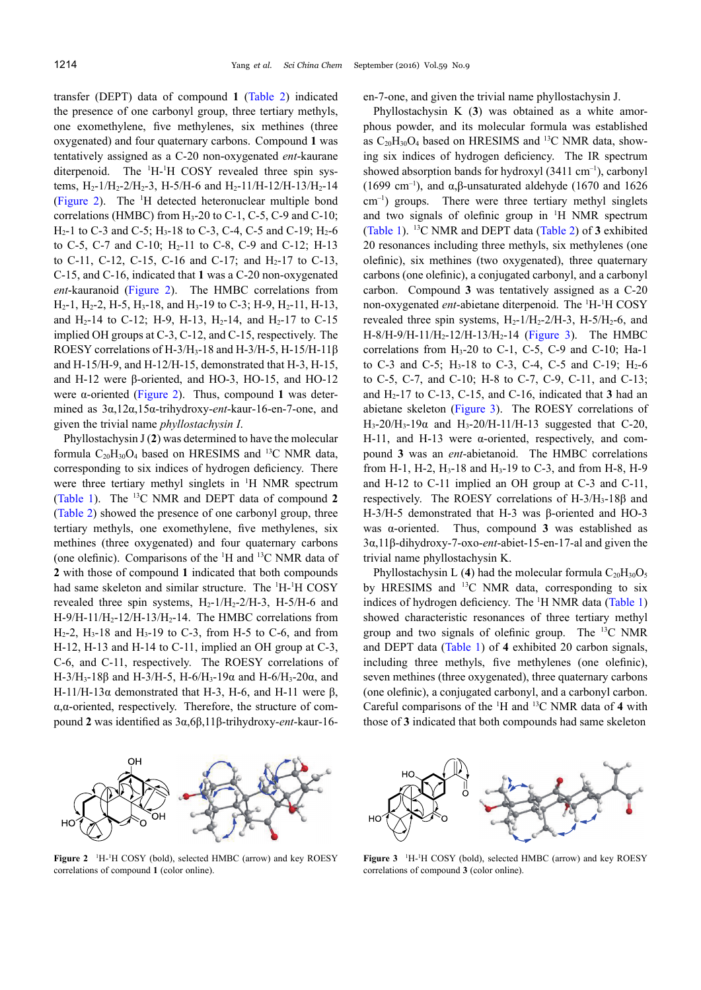transfer (DEPT) data of compound **<sup>1</sup>** ([Table](#page-2-0) 2) indicated the presence of one carbonyl group, three tertiary methyls, one exomethylene, five methylenes, six methines (three oxygenated) and four quaternary carbons. Compound **<sup>1</sup>** was tentatively assigned as <sup>a</sup> C-20 non-oxygenated *ent*-kaurane diterpenoid. The  ${}^{1}H$ - ${}^{1}H$  COSY revealed three spin systems,  $H_2$ -1/ $H_2$ -2/ $H_2$ -3, H-5/H-6 and  $H_2$ -11/H-12/H-13/H<sub>2</sub>-14 (Figure 2). The <sup>1</sup>H detected heteronuclear multiple bond<br>  $(11.00)$  for  $(1.00)$  for  $(1.00)$  for  $(0.00)$   $(0.10)$ correlations (HMBC) from  $H_3$ -20 to C-1, C-5, C-9 and C-10;  $H_2-1$  to C-3 and C-5;  $H_3-18$  to C-3, C-4, C-5 and C-19;  $H_2-6$ to C-5, C-7 and C-10;  $H_2$ -11 to C-8, C-9 and C-12; H-13 to C-11, C-12, C-15, C-16 and C-17; and  $H_2$ -17 to C-13, C-15, and C-16, indicated that **<sup>1</sup>** was <sup>a</sup> C-20 non-oxygenated *ent*-kauranoid (Figure 2). The HMBC correlations from  $H_2-1$ ,  $H_2-2$ ,  $H_2-5$ ,  $H_3-18$ , and  $H_3-19$  to C-3;  $H_2-9$ ,  $H_2-11$ ,  $H_2-13$ , and H<sub>2</sub>-14 to C-12; H-9, H-13, H<sub>2</sub>-14, and H<sub>2</sub>-17 to C-15 implied OH groups at C-3, C-12, and C-15, respectively. The ROESY correlations of H-3/H3-18 and H-3/H-5, H-15/H-11β and H-15/H-9, and H-12/H-15, demonstrated that H-3, H-15, and H-12 were β-oriented, and HO-3, HO-15, and HO-12 were α-oriented (Figure 2). Thus, compound **<sup>1</sup>** was determined as 3α,12α,15α-trihydroxy-*ent*-kaur-16-en-7-one, and <sup>g</sup>iven the trivial name *<sup>p</sup>hyllostachysin <sup>I</sup>*.

Phyllostachysin <sup>J</sup> (**2**) was determined to have the molecular formula  $C_{20}H_{30}O_4$  based on HRESIMS and <sup>13</sup>C NMR data, corresponding to six indices of hydrogen deficiency. There were three tertiary methyl singlets in <sup>1</sup>H NMR spectrum ([Table](#page-2-0) 1). The 13 <sup>C</sup> NMR and DEPT data of compound **<sup>2</sup>** ([Table](#page-2-0) 2) showed the presence of one carbonyl group, three tertiary methyls, one exomethylene, five methylenes, six methines (three oxygenated) and four quaternary carbons (one olefinic). Comparisons of the <sup>1</sup><sup>H</sup> and <sup>13</sup> <sup>C</sup> NMR data of **<sup>2</sup>** with those of compound **<sup>1</sup>** indicated that both compounds had same skeleton and similar structure. The  ${}^{1}H~^{1}H$  COSY revealed three spin systems,  $H_2-1/H_2-2/H-3$ , H-5/H-6 and  $H-9/H-11/H<sub>2</sub>-12/H-13/H<sub>2</sub>-14$ . The HMBC correlations from  $H_2$ -2,  $H_3$ -18 and  $H_3$ -19 to C-3, from H-5 to C-6, and from H-12, H-13 and H-14 to C-11, implied an OH group at C-3, C-6, and C-11, respectively. The ROESY correlations of H-3/H3-18β and H-3/H-5, H-6/H3-19α and H-6/H3-20α, and H-11/H-13α demonstrated that H-3, H-6, and H-11 were  $\beta$ , α,α-oriented, respectively. Therefore, the structure of compound **<sup>2</sup>** was identified as 3α,6β,11β-trihydroxy-*ent*-kaur-16en-7-one, and <sup>g</sup>iven the trivial name <sup>p</sup>hyllostachysin J.

Phyllostachysin <sup>K</sup> (**3**) was obtained as <sup>a</sup> white amor<sup>p</sup>hous powder, and its molecular formula was established as  $C_{20}H_{30}O_4$  based on HRESIMS and <sup>13</sup>C NMR data, showing six indices of hydrogen deficiency. The IR spectrum showed absorption bands for hydroxyl  $(3411 \text{ cm}^{-1})$ , carbonyl<br> $(1680 \text{ cm}^{-1})$ (1699 cm<sup>-1</sup>), and  $\alpha$ ,β-unsaturated aldehyde (1670 and 1626)  $\text{cm}^{-1}$ ) groups. There were three tertiary methyl singlets and two signals of olefinic group in <sup>1</sup><sup>H</sup> NMR spectrum ([Table](#page-2-0) 1). 13 <sup>C</sup> NMR and DEPT data ([Table](#page-2-0) 2) of **<sup>3</sup>** exhibited <sup>20</sup> resonances including three methyls, six methylenes (one olefinic), six methines (two oxygenated), three quaternary carbons (one olefinic), <sup>a</sup> conjugated carbonyl, and <sup>a</sup> carbonyl carbon. Compound **<sup>3</sup>** was tentatively assigned as <sup>a</sup> C-20 non-oxygenated *ent*-abietane diterpenoid. The <sup>1</sup>H-<sup>1</sup>H COSY revealed three spin systems,  $H_2$ -1/ $H_2$ -2/ $H_3$ -3,  $H_3$ -5/ $H_2$ -6, and  $H-8/H-9/H-11/H<sub>2</sub>-12/H-13/H<sub>2</sub>-14$  (Figure 3). The HMBC correlations from  $H_3$ -20 to C-1, C-5, C-9 and C-10; Ha-1 to C-3 and C-5;  $H_3-18$  to C-3, C-4, C-5 and C-19;  $H_2-6$ to C-5, C-7, and C-10; H-8 to C-7, C-9, C-11, and C-13; and <sup>H</sup>2-17 to C-13, C-15, and C-16, indicated that **<sup>3</sup>** had an abietane skeleton (Figure 3). The ROESY correlations of  $H_3$ -20/ $H_3$ -19α and  $H_3$ -20/H-11/H-13 suggested that C-20, H-11, and H-13 were α-oriented, respectively, and compound **<sup>3</sup>** was an *ent*-abietanoid. The HMBC correlations from H-1, H-2, H<sub>3</sub>-18 and H<sub>3</sub>-19 to C-3, and from H-8, H-9 and H-12 to C-11 implied an OH group at C-3 and C-11, respectively. The ROESY correlations of H-3/H3-18β and H-3/H-5 demonstrated that H-3 was β-oriented and HO-3 was α-oriented. Thus, compound 3 was established as Thus, compound **3** was established as 3α,11β-dihydroxy-7-oxo-*ent*-abiet-15-en-17-al and <sup>g</sup>iven the trivial name <sup>p</sup>hyllostachysin K.

Phyllostachysin L (4) had the molecular formula  $C_{20}H_{30}O_5$ by HRESIMS and <sup>13</sup>C NMR data, corresponding to six indices of hydrogen deficiency. The <sup>1</sup>H NMR data ([Table](#page-2-0) 1) showed characteristic resonances of three tertiary methyl group and two signals of olefinic group. The <sup>13</sup>C NMR and DEPT data ([Table](#page-2-0) 1) of **<sup>4</sup>** exhibited <sup>20</sup> carbon signals, including three methyls, five methylenes (one olefinic), seven methines (three oxygenated), three quaternary carbons (one olefinic), <sup>a</sup> conjugated carbonyl, and <sup>a</sup> carbonyl carbon. Careful comparisons of the <sup>1</sup><sup>H</sup> and <sup>13</sup> <sup>C</sup> NMR data of **<sup>4</sup>** with those of **<sup>3</sup>** indicated that both compounds had same skeleton



**Figure 2** <sup>1</sup>H<sup>-1</sup>H COSY (bold), selected HMBC (arrow) and key ROESY correlations of compound **<sup>1</sup>** (color online).



**Figure 3** <sup>1</sup>H-<sup>1</sup>H COSY (bold), selected HMBC (arrow) and key ROESY correlations of compound **<sup>3</sup>** (color online).